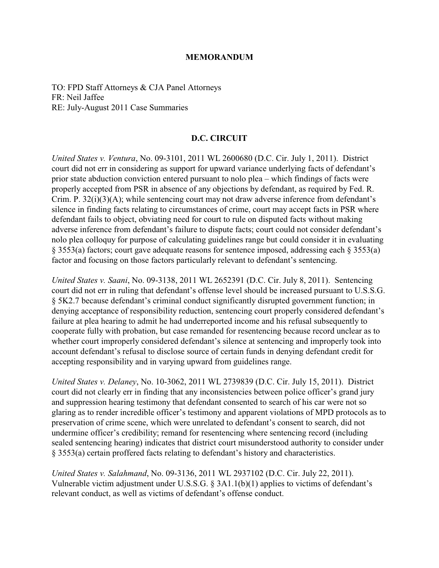## **MEMORANDUM**

TO: FPD Staff Attorneys & CJA Panel Attorneys FR: Neil Jaffee RE: July-August 2011 Case Summaries

## **D.C. CIRCUIT**

*United States v. Ventura*, No. 09-3101, 2011 WL 2600680 (D.C. Cir. July 1, 2011). District court did not err in considering as support for upward variance underlying facts of defendant's prior state abduction conviction entered pursuant to nolo plea – which findings of facts were properly accepted from PSR in absence of any objections by defendant, as required by Fed. R. Crim. P. 32(i)(3)(A); while sentencing court may not draw adverse inference from defendant's silence in finding facts relating to circumstances of crime, court may accept facts in PSR where defendant fails to object, obviating need for court to rule on disputed facts without making adverse inference from defendant's failure to dispute facts; court could not consider defendant's nolo plea colloquy for purpose of calculating guidelines range but could consider it in evaluating § 3553(a) factors; court gave adequate reasons for sentence imposed, addressing each § 3553(a) factor and focusing on those factors particularly relevant to defendant's sentencing.

*United States v. Saani*, No. 09-3138, 2011 WL 2652391 (D.C. Cir. July 8, 2011). Sentencing court did not err in ruling that defendant's offense level should be increased pursuant to U.S.S.G. § 5K2.7 because defendant's criminal conduct significantly disrupted government function; in denying acceptance of responsibility reduction, sentencing court properly considered defendant's failure at plea hearing to admit he had underreported income and his refusal subsequently to cooperate fully with probation, but case remanded for resentencing because record unclear as to whether court improperly considered defendant's silence at sentencing and improperly took into account defendant's refusal to disclose source of certain funds in denying defendant credit for accepting responsibility and in varying upward from guidelines range.

*United States v. Delaney*, No. 10-3062, 2011 WL 2739839 (D.C. Cir. July 15, 2011). District court did not clearly err in finding that any inconsistencies between police officer's grand jury and suppression hearing testimony that defendant consented to search of his car were not so glaring as to render incredible officer's testimony and apparent violations of MPD protocols as to preservation of crime scene, which were unrelated to defendant's consent to search, did not undermine officer's credibility; remand for resentencing where sentencing record (including sealed sentencing hearing) indicates that district court misunderstood authority to consider under § 3553(a) certain proffered facts relating to defendant's history and characteristics.

*United States v. Salahmand*, No. 09-3136, 2011 WL 2937102 (D.C. Cir. July 22, 2011). Vulnerable victim adjustment under U.S.S.G. § 3A1.1(b)(1) applies to victims of defendant's relevant conduct, as well as victims of defendant's offense conduct.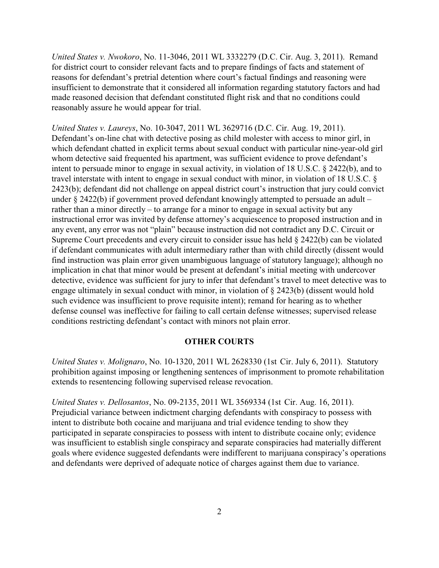*United States v. Nwokoro*, No. 11-3046, 2011 WL 3332279 (D.C. Cir. Aug. 3, 2011). Remand for district court to consider relevant facts and to prepare findings of facts and statement of reasons for defendant's pretrial detention where court's factual findings and reasoning were insufficient to demonstrate that it considered all information regarding statutory factors and had made reasoned decision that defendant constituted flight risk and that no conditions could reasonably assure he would appear for trial.

*United States v. Laureys*, No. 10-3047, 2011 WL 3629716 (D.C. Cir. Aug. 19, 2011). Defendant's on-line chat with detective posing as child molester with access to minor girl, in which defendant chatted in explicit terms about sexual conduct with particular nine-year-old girl whom detective said frequented his apartment, was sufficient evidence to prove defendant's intent to persuade minor to engage in sexual activity, in violation of 18 U.S.C. § 2422(b), and to travel interstate with intent to engage in sexual conduct with minor, in violation of 18 U.S.C. § 2423(b); defendant did not challenge on appeal district court's instruction that jury could convict under § 2422(b) if government proved defendant knowingly attempted to persuade an adult – rather than a minor directly – to arrange for a minor to engage in sexual activity but any instructional error was invited by defense attorney's acquiescence to proposed instruction and in any event, any error was not "plain" because instruction did not contradict any D.C. Circuit or Supreme Court precedents and every circuit to consider issue has held  $\S$  2422(b) can be violated if defendant communicates with adult intermediary rather than with child directly (dissent would find instruction was plain error given unambiguous language of statutory language); although no implication in chat that minor would be present at defendant's initial meeting with undercover detective, evidence was sufficient for jury to infer that defendant's travel to meet detective was to engage ultimately in sexual conduct with minor, in violation of § 2423(b) (dissent would hold such evidence was insufficient to prove requisite intent); remand for hearing as to whether defense counsel was ineffective for failing to call certain defense witnesses; supervised release conditions restricting defendant's contact with minors not plain error.

## **OTHER COURTS**

*United States v. Molignaro*, No. 10-1320, 2011 WL 2628330 (1st Cir. July 6, 2011). Statutory prohibition against imposing or lengthening sentences of imprisonment to promote rehabilitation extends to resentencing following supervised release revocation.

*United States v. Dellosantos*, No. 09-2135, 2011 WL 3569334 (1st Cir. Aug. 16, 2011). Prejudicial variance between indictment charging defendants with conspiracy to possess with intent to distribute both cocaine and marijuana and trial evidence tending to show they participated in separate conspiracies to possess with intent to distribute cocaine only; evidence was insufficient to establish single conspiracy and separate conspiracies had materially different goals where evidence suggested defendants were indifferent to marijuana conspiracy's operations and defendants were deprived of adequate notice of charges against them due to variance.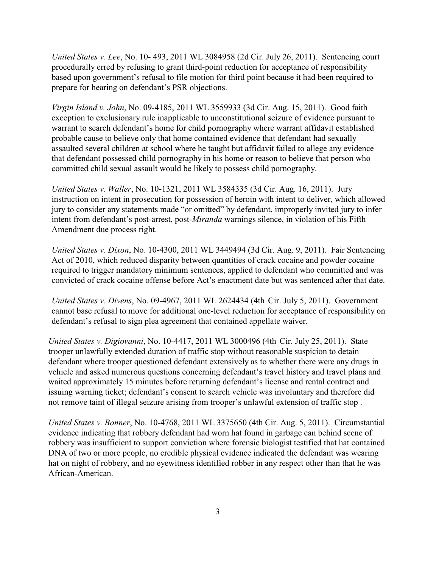*United States v. Lee*, No. 10- 493, 2011 WL 3084958 (2d Cir. July 26, 2011). Sentencing court procedurally erred by refusing to grant third-point reduction for acceptance of responsibility based upon government's refusal to file motion for third point because it had been required to prepare for hearing on defendant's PSR objections.

*Virgin Island v. John*, No. 09-4185, 2011 WL 3559933 (3d Cir. Aug. 15, 2011). Good faith exception to exclusionary rule inapplicable to unconstitutional seizure of evidence pursuant to warrant to search defendant's home for child pornography where warrant affidavit established probable cause to believe only that home contained evidence that defendant had sexually assaulted several children at school where he taught but affidavit failed to allege any evidence that defendant possessed child pornography in his home or reason to believe that person who committed child sexual assault would be likely to possess child pornography.

*United States v. Waller*, No. 10-1321, 2011 WL 3584335 (3d Cir. Aug. 16, 2011). Jury instruction on intent in prosecution for possession of heroin with intent to deliver, which allowed jury to consider any statements made "or omitted" by defendant, improperly invited jury to infer intent from defendant's post-arrest, post-*Miranda* warnings silence, in violation of his Fifth Amendment due process right.

*United States v. Dixon*, No. 10-4300, 2011 WL 3449494 (3d Cir. Aug. 9, 2011). Fair Sentencing Act of 2010, which reduced disparity between quantities of crack cocaine and powder cocaine required to trigger mandatory minimum sentences, applied to defendant who committed and was convicted of crack cocaine offense before Act's enactment date but was sentenced after that date.

*United States v. Divens*, No. 09-4967, 2011 WL 2624434 (4th Cir. July 5, 2011). Government cannot base refusal to move for additional one-level reduction for acceptance of responsibility on defendant's refusal to sign plea agreement that contained appellate waiver.

*United States v. Digiovanni*, No. 10-4417, 2011 WL 3000496 (4th Cir. July 25, 2011). State trooper unlawfully extended duration of traffic stop without reasonable suspicion to detain defendant where trooper questioned defendant extensively as to whether there were any drugs in vehicle and asked numerous questions concerning defendant's travel history and travel plans and waited approximately 15 minutes before returning defendant's license and rental contract and issuing warning ticket; defendant's consent to search vehicle was involuntary and therefore did not remove taint of illegal seizure arising from trooper's unlawful extension of traffic stop .

*United States v. Bonner*, No. 10-4768, 2011 WL 3375650 (4th Cir. Aug. 5, 2011). Circumstantial evidence indicating that robbery defendant had worn hat found in garbage can behind scene of robbery was insufficient to support conviction where forensic biologist testified that hat contained DNA of two or more people, no credible physical evidence indicated the defendant was wearing hat on night of robbery, and no eyewitness identified robber in any respect other than that he was African-American.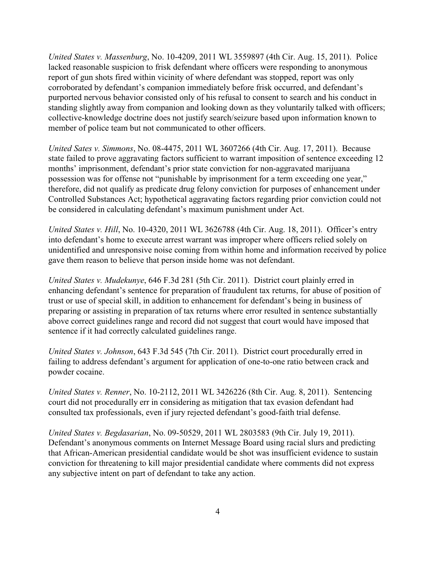*United States v. Massenburg*, No. 10-4209, 2011 WL 3559897 (4th Cir. Aug. 15, 2011). Police lacked reasonable suspicion to frisk defendant where officers were responding to anonymous report of gun shots fired within vicinity of where defendant was stopped, report was only corroborated by defendant's companion immediately before frisk occurred, and defendant's purported nervous behavior consisted only of his refusal to consent to search and his conduct in standing slightly away from companion and looking down as they voluntarily talked with officers; collective-knowledge doctrine does not justify search/seizure based upon information known to member of police team but not communicated to other officers.

*United Sates v. Simmons*, No. 08-4475, 2011 WL 3607266 (4th Cir. Aug. 17, 2011). Because state failed to prove aggravating factors sufficient to warrant imposition of sentence exceeding 12 months' imprisonment, defendant's prior state conviction for non-aggravated marijuana possession was for offense not "punishable by imprisonment for a term exceeding one year," therefore, did not qualify as predicate drug felony conviction for purposes of enhancement under Controlled Substances Act; hypothetical aggravating factors regarding prior conviction could not be considered in calculating defendant's maximum punishment under Act.

*United States v. Hill*, No. 10-4320, 2011 WL 3626788 (4th Cir. Aug. 18, 2011). Officer's entry into defendant's home to execute arrest warrant was improper where officers relied solely on unidentified and unresponsive noise coming from within home and information received by police gave them reason to believe that person inside home was not defendant.

*United States v. Mudekunye*, 646 F.3d 281 (5th Cir. 2011). District court plainly erred in enhancing defendant's sentence for preparation of fraudulent tax returns, for abuse of position of trust or use of special skill, in addition to enhancement for defendant's being in business of preparing or assisting in preparation of tax returns where error resulted in sentence substantially above correct guidelines range and record did not suggest that court would have imposed that sentence if it had correctly calculated guidelines range.

*United States v. Johnson*, 643 F.3d 545 (7th Cir. 2011). District court procedurally erred in failing to address defendant's argument for application of one-to-one ratio between crack and powder cocaine.

*United States v. Renner*, No. 10-2112, 2011 WL 3426226 (8th Cir. Aug. 8, 2011). Sentencing court did not procedurally err in considering as mitigation that tax evasion defendant had consulted tax professionals, even if jury rejected defendant's good-faith trial defense.

*United States v. Begdasarian*, No. 09-50529, 2011 WL 2803583 (9th Cir. July 19, 2011). Defendant's anonymous comments on Internet Message Board using racial slurs and predicting that African-American presidential candidate would be shot was insufficient evidence to sustain conviction for threatening to kill major presidential candidate where comments did not express any subjective intent on part of defendant to take any action.